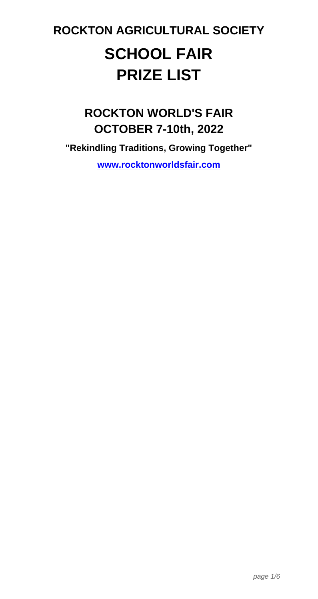# **ROCKTON AGRICULTURAL SOCIETY SCHOOL FAIR PRIZE LIST**

# **ROCKTON WORLD'S FAIR OCTOBER 7-10th, 2022**

**"Rekindling Traditions, Growing Together" www.rocktonworldsfair.com**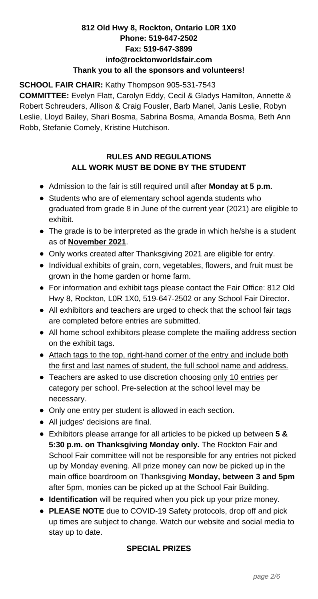## **812 Old Hwy 8, Rockton, Ontario L0R 1X0 Phone: 519-647-2502 Fax: 519-647-3899 info@rocktonworldsfair.com Thank you to all the sponsors and volunteers!**

### **SCHOOL FAIR CHAIR:** Kathy Thompson 905-531-7543

**COMMITTEE:** Evelyn Flatt, Carolyn Eddy, Cecil & Gladys Hamilton, Annette & Robert Schreuders, Allison & Craig Fousler, Barb Manel, Janis Leslie, Robyn Leslie, Lloyd Bailey, Shari Bosma, Sabrina Bosma, Amanda Bosma, Beth Ann Robb, Stefanie Comely, Kristine Hutchison.

# **RULES AND REGULATIONS ALL WORK MUST BE DONE BY THE STUDENT**

- Admission to the fair is still required until after **Monday at 5 p.m.**
- Students who are of elementary school agenda students who graduated from grade 8 in June of the current year (2021) are eligible to exhibit.
- The grade is to be interpreted as the grade in which he/she is a student as of **November 2021**.
- Only works created after Thanksgiving 2021 are eligible for entry.
- Individual exhibits of grain, corn, vegetables, flowers, and fruit must be grown in the home garden or home farm.
- For information and exhibit tags please contact the Fair Office: 812 Old Hwy 8, Rockton, L0R 1X0, 519-647-2502 or any School Fair Director.
- All exhibitors and teachers are urged to check that the school fair tags are completed before entries are submitted.
- All home school exhibitors please complete the mailing address section on the exhibit tags.
- Attach tags to the top, right-hand corner of the entry and include both the first and last names of student, the full school name and address.
- Teachers are asked to use discretion choosing only 10 entries per category per school. Pre-selection at the school level may be necessary.
- Only one entry per student is allowed in each section.
- All judges' decisions are final.
- Exhibitors please arrange for all articles to be picked up between **5 & 5:30 p.m. on Thanksgiving Monday only.** The Rockton Fair and School Fair committee will not be responsible for any entries not picked up by Monday evening. All prize money can now be picked up in the main office boardroom on Thanksgiving **Monday, between 3 and 5pm** after 5pm, monies can be picked up at the School Fair Building.
- **Identification** will be required when you pick up your prize money.
- **PLEASE NOTE** due to COVID-19 Safety protocols, drop off and pick up times are subject to change. Watch our website and social media to stay up to date.

# **SPECIAL PRIZES**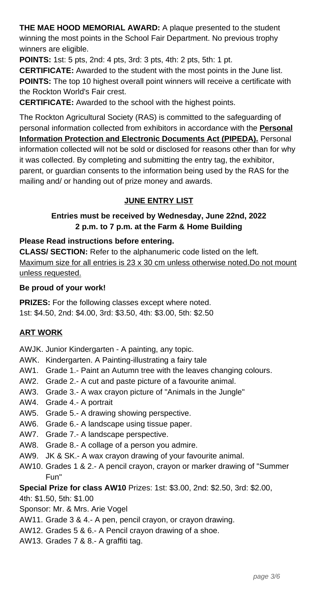**THE MAE HOOD MEMORIAL AWARD:** A plaque presented to the student winning the most points in the School Fair Department. No previous trophy winners are eligible.

**POINTS:** 1st: 5 pts, 2nd: 4 pts, 3rd: 3 pts, 4th: 2 pts, 5th: 1 pt.

**CERTIFICATE:** Awarded to the student with the most points in the June list. **POINTS:** The top 10 highest overall point winners will receive a certificate with the Rockton World's Fair crest.

**CERTIFICATE:** Awarded to the school with the highest points.

The Rockton Agricultural Society (RAS) is committed to the safeguarding of personal information collected from exhibitors in accordance with the **Personal Information Protection and Electronic Documents Act (PIPEDA).** Personal information collected will not be sold or disclosed for reasons other than for why it was collected. By completing and submitting the entry tag, the exhibitor, parent, or guardian consents to the information being used by the RAS for the mailing and/ or handing out of prize money and awards.

### **JUNE ENTRY LIST**

#### **Entries must be received by Wednesday, June 22nd, 2022 2 p.m. to 7 p.m. at the Farm & Home Building**

#### **Please Read instructions before entering.**

**CLASS/ SECTION:** Refer to the alphanumeric code listed on the left. Maximum size for all entries is 23 x 30 cm unless otherwise noted.Do not mount unless requested.

#### **Be proud of your work!**

**PRIZES:** For the following classes except where noted. 1st: \$4.50, 2nd: \$4.00, 3rd: \$3.50, 4th: \$3.00, 5th: \$2.50

#### **ART WORK**

AWJK. Junior Kindergarten - A painting, any topic.

- AWK. Kindergarten. A Painting-illustrating a fairy tale
- AW1. Grade 1.- Paint an Autumn tree with the leaves changing colours.
- AW2. Grade 2.- A cut and paste picture of a favourite animal.
- AW3. Grade 3.- A wax crayon picture of "Animals in the Jungle"
- AW4. Grade 4.- A portrait
- AW5. Grade 5.- A drawing showing perspective.
- AW6. Grade 6.- A landscape using tissue paper.
- AW7. Grade 7.- A landscape perspective.
- AW8. Grade 8.- A collage of a person you admire.
- AW9. JK & SK.- A wax crayon drawing of your favourite animal.
- AW10. Grades 1 & 2.- A pencil crayon, crayon or marker drawing of "Summer Fun"

**Special Prize for class AW10** Prizes: 1st: \$3.00, 2nd: \$2.50, 3rd: \$2.00,

4th: \$1.50, 5th: \$1.00

Sponsor: Mr. & Mrs. Arie Vogel

- AW11. Grade 3 & 4.- A pen, pencil crayon, or crayon drawing.
- AW12. Grades 5 & 6.- A Pencil crayon drawing of a shoe.
- AW13. Grades 7 & 8.- A graffiti tag.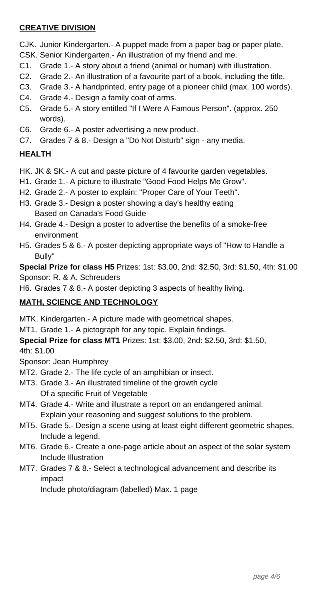# **CREATIVE DIVISION**

CJK. Junior Kindergarten.- A puppet made from a paper bag or paper plate.

- CSK. Senior Kindergarten.- An illustration of my friend and me.
- C1. Grade 1.- A story about a friend (animal or human) with illustration.
- C2. Grade 2.- An illustration of a favourite part of a book, including the title.
- C3. Grade 3.- A handprinted, entry page of a pioneer child (max. 100 words).
- C4. Grade 4.- Design a family coat of arms.
- C5. Grade 5.- A story entitled "If I Were A Famous Person". (approx. 250 words).
- C6. Grade 6.- A poster advertising a new product.
- C7. Grades 7 & 8.- Design a "Do Not Disturb" sign any media.

# **HEALTH**

- HK. JK & SK.- A cut and paste picture of 4 favourite garden vegetables.
- H1. Grade 1.- A picture to illustrate "Good Food Helps Me Grow".
- H2. Grade 2.- A poster to explain: "Proper Care of Your Teeth".
- H3. Grade 3.- Design a poster showing a day's healthy eating Based on Canada's Food Guide
- H4. Grade 4.- Design a poster to advertise the benefits of a smoke-free environment
- H5. Grades 5 & 6.- A poster depicting appropriate ways of "How to Handle a Bully"

**Special Prize for class H5** Prizes: 1st: \$3.00, 2nd: \$2.50, 3rd: \$1.50, 4th: \$1.00 Sponsor: R. & A. Schreuders

H6. Grades 7 & 8.- A poster depicting 3 aspects of healthy living.

#### **MATH, SCIENCE AND TECHNOLOGY**

MTK. Kindergarten.- A picture made with geometrical shapes.

MT1. Grade 1.- A pictograph for any topic. Explain findings.

**Special Prize for class MT1** Prizes: 1st: \$3.00, 2nd: \$2.50, 3rd: \$1.50,

4th: \$1.00

Sponsor: Jean Humphrey

- MT2. Grade 2.- The life cycle of an amphibian or insect.
- MT3. Grade 3.- An illustrated timeline of the growth cycle Of a specific Fruit of Vegetable
- MT4. Grade 4.- Write and illustrate a report on an endangered animal. Explain your reasoning and suggest solutions to the problem.
- MT5. Grade 5.- Design a scene using at least eight different geometric shapes. Include a legend.
- MT6. Grade 6.- Create a one-page article about an aspect of the solar system Include Illustration
- MT7. Grades 7 & 8.- Select a technological advancement and describe its impact

Include photo/diagram (labelled) Max. 1 page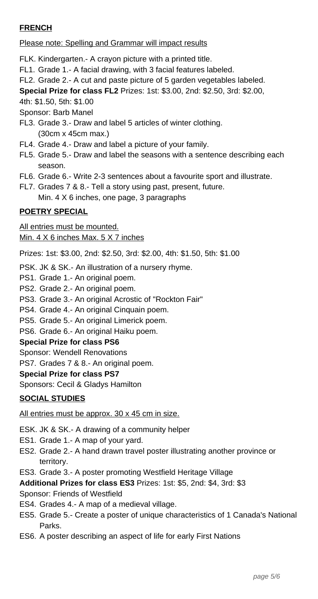# **FRENCH**

Please note: Spelling and Grammar will impact results

FLK. Kindergarten.- A crayon picture with a printed title.

- FL1. Grade 1.- A facial drawing, with 3 facial features labeled.
- FL2. Grade 2.- A cut and paste picture of 5 garden vegetables labeled.

**Special Prize for class FL2** Prizes: 1st: \$3.00, 2nd: \$2.50, 3rd: \$2.00,

4th: \$1.50, 5th: \$1.00

Sponsor: Barb Manel

- FL3. Grade 3.- Draw and label 5 articles of winter clothing. (30cm x 45cm max.)
- FL4. Grade 4.- Draw and label a picture of your family.
- FL5. Grade 5.- Draw and label the seasons with a sentence describing each season.
- FL6. Grade 6.- Write 2-3 sentences about a favourite sport and illustrate.
- FL7. Grades 7 & 8.- Tell a story using past, present, future. Min. 4 X 6 inches, one page, 3 paragraphs

# **POETRY SPECIAL**

All entries must be mounted. Min. 4 X 6 inches Max. 5 X 7 inches

Prizes: 1st: \$3.00, 2nd: \$2.50, 3rd: \$2.00, 4th: \$1.50, 5th: \$1.00

PSK. JK & SK.- An illustration of a nursery rhyme.

- PS1. Grade 1.- An original poem.
- PS2. Grade 2.- An original poem.
- PS3. Grade 3.- An original Acrostic of "Rockton Fair"
- PS4. Grade 4.- An original Cinquain poem.
- PS5. Grade 5.- An original Limerick poem.
- PS6. Grade 6.- An original Haiku poem.

#### **Special Prize for class PS6**

Sponsor: Wendell Renovations

PS7. Grades 7 & 8.- An original poem.

#### **Special Prize for class PS7**

Sponsors: Cecil & Gladys Hamilton

#### **SOCIAL STUDIES**

All entries must be approx. 30 x 45 cm in size.

ESK. JK & SK.- A drawing of a community helper

- ES1. Grade 1.- A map of your yard.
- ES2. Grade 2.- A hand drawn travel poster illustrating another province or territory.
- ES3. Grade 3.- A poster promoting Westfield Heritage Village

**Additional Prizes for class ES3** Prizes: 1st: \$5, 2nd: \$4, 3rd: \$3

Sponsor: Friends of Westfield

- ES4. Grades 4.- A map of a medieval village.
- ES5. Grade 5.- Create a poster of unique characteristics of 1 Canada's National Parks.
- ES6. A poster describing an aspect of life for early First Nations